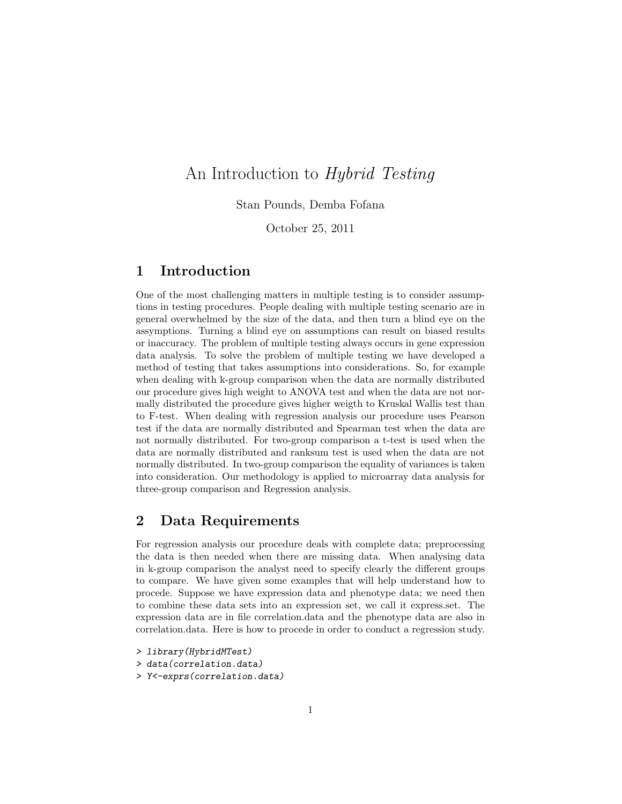# An Introduction to Hybrid Testing

Stan Pounds, Demba Fofana

October 25, 2011

#### 1 Introduction

One of the most challenging matters in multiple testing is to consider assumptions in testing procedures. People dealing with multiple testing scenario are in general overwhelmed by the size of the data, and then turn a blind eye on the assymptions. Turning a blind eye on assumptions can result on biased results or inaccuracy. The problem of multiple testing always occurs in gene expression data analysis. To solve the problem of multiple testing we have developed a method of testing that takes assumptions into considerations. So, for example when dealing with k-group comparison when the data are normally distributed our procedure gives high weight to ANOVA test and when the data are not normally distributed the procedure gives higher weigth to Kruskal Wallis test than to F-test. When dealing with regression analysis our procedure uses Pearson test if the data are normally distributed and Spearman test when the data are not normally distributed. For two-group comparison a t-test is used when the data are normally distributed and ranksum test is used when the data are not normally distributed. In two-group comparison the equality of variances is taken into consideration. Our methodology is applied to microarray data analysis for three-group comparison and Regression analysis.

## 2 Data Requirements

For regression analysis our procedure deals with complete data; preprocessing the data is then needed when there are missing data. When analysing data in k-group comparison the analyst need to specify clearly the different groups to compare. We have given some examples that will help understand how to procede. Suppose we have expression data and phenotype data; we need then to combine these data sets into an expression set, we call it express.set. The expression data are in file correlation.data and the phenotype data are also in correlation.data. Here is how to procede in order to conduct a regression study.

- > library(HybridMTest)
- > data(correlation.data)
- > Y<-exprs(correlation.data)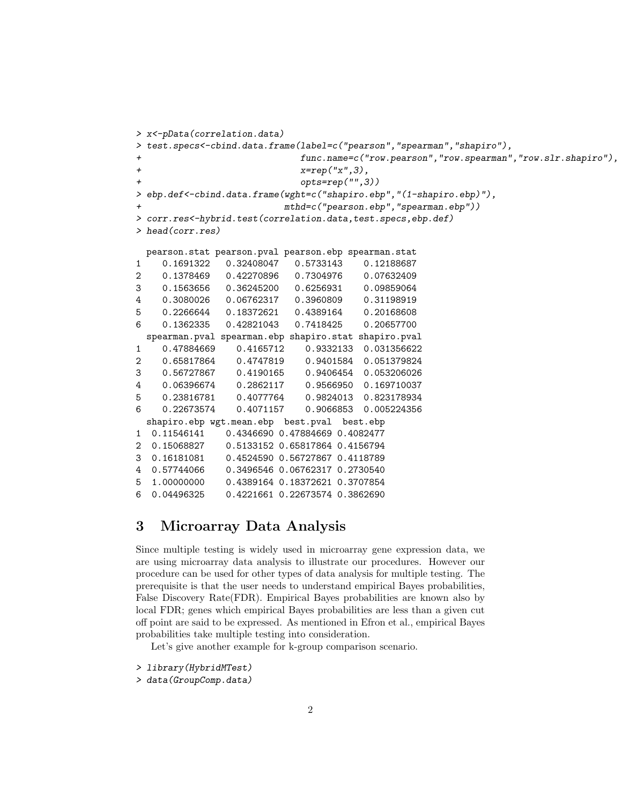```
> x<-pData(correlation.data)
> test.specs<-cbind.data.frame(label=c("pearson","spearman","shapiro"),
+ func.name=c("row.pearson","row.spearman","row.slr.shapiro"),
+ x=rep("x",3),
+ opts=rep("",3))
> ebp.def<-cbind.data.frame(wght=c("shapiro.ebp","(1-shapiro.ebp)"),
+ mthd=c("pearson.ebp","spearman.ebp"))
> corr.res<-hybrid.test(correlation.data,test.specs,ebp.def)
> head(corr.res)
 pearson.stat pearson.pval pearson.ebp spearman.stat
1 0.1691322 0.32408047 0.5733143 0.12188687
2 0.1378469 0.42270896 0.7304976 0.07632409
3 0.1563656 0.36245200 0.6256931 0.09859064
4 0.3080026 0.06762317 0.3960809 0.31198919
5 0.2266644 0.18372621 0.4389164 0.20168608
6 0.1362335 0.42821043 0.7418425 0.20657700
 spearman.pval spearman.ebp shapiro.stat shapiro.pval
1 0.47884669 0.4165712 0.9332133 0.031356622
2 0.65817864 0.4747819 0.9401584 0.051379824
3 0.56727867 0.4190165 0.9406454 0.053206026
4 0.06396674 0.2862117 0.9566950 0.169710037
5 0.23816781 0.4077764 0.9824013 0.823178934
6 0.22673574 0.4071157 0.9066853 0.005224356
 shapiro.ebp wgt.mean.ebp best.pval best.ebp
1 0.11546141 0.4346690 0.47884669 0.4082477
2 0.15068827 0.5133152 0.65817864 0.4156794
3 0.16181081 0.4524590 0.56727867 0.4118789
4 0.57744066 0.3496546 0.06762317 0.2730540
5 1.00000000 0.4389164 0.18372621 0.3707854
6 0.04496325 0.4221661 0.22673574 0.3862690
```
## 3 Microarray Data Analysis

Since multiple testing is widely used in microarray gene expression data, we are using microarray data analysis to illustrate our procedures. However our procedure can be used for other types of data analysis for multiple testing. The prerequisite is that the user needs to understand empirical Bayes probabilities, False Discovery Rate(FDR). Empirical Bayes probabilities are known also by local FDR; genes which empirical Bayes probabilities are less than a given cut off point are said to be expressed. As mentioned in Efron et al., empirical Bayes probabilities take multiple testing into consideration.

Let's give another example for k-group comparison scenario.

```
> library(HybridMTest)
```
> data(GroupComp.data)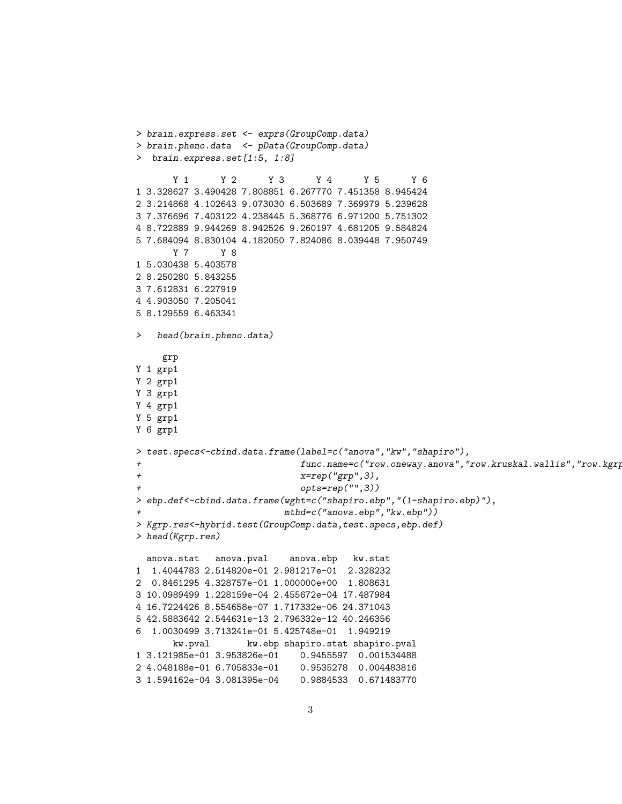```
> brain.express.set <- exprs(GroupComp.data)
> brain.pheno.data <- pData(GroupComp.data)
> brain.express.set[1:5, 1:8]
      Y 1 Y 2 Y 3 Y 4 Y 5 Y 6
1 3.328627 3.490428 7.808851 6.267770 7.451358 8.945424
2 3.214868 4.102643 9.073030 6.503689 7.369979 5.239628
3 7.376696 7.403122 4.238445 5.368776 6.971200 5.751302
4 8.722889 9.944269 8.942526 9.260197 4.681205 9.584824
5 7.684094 8.830104 4.182050 7.824086 8.039448 7.950749
      Y 7 Y 8
1 5.030438 5.403578
2 8.250280 5.843255
3 7.612831 6.227919
4 4.903050 7.205041
5 8.129559 6.463341
   head(brain.pheno.data)
    grp
Y 1 grp1
Y 2 grp1
Y 3 grp1
Y 4 grp1
Y 5 grp1
Y 6 grp1
> test.specs<-cbind.data.frame(label=c("anova","kw","shapiro"),
+ func.name=c("row.oneway.anova","row.kruskal.wallis","row.kgrp.
+ x=rep("grp",3),
+ opts=rep("",3))
> ebp.def<-cbind.data.frame(wght=c("shapiro.ebp","(1-shapiro.ebp)"),
                         mthd=c("anova.ebp", "kw.ebp")> Kgrp.res<-hybrid.test(GroupComp.data,test.specs,ebp.def)
> head(Kgrp.res)
 anova.stat anova.pval anova.ebp kw.stat
1 1.4044783 2.514820e-01 2.981217e-01 2.328232
2 0.8461295 4.328757e-01 1.000000e+00 1.808631
3 10.0989499 1.228159e-04 2.455672e-04 17.487984
4 16.7224426 8.554658e-07 1.717332e-06 24.371043
5 42.5883642 2.544631e-13 2.796332e-12 40.246356
6 1.0030499 3.713241e-01 5.425748e-01 1.949219
      kw.pval kw.ebp shapiro.stat shapiro.pval
1 3.121985e-01 3.953826e-01 0.9455597 0.001534488
2 4.048188e-01 6.705833e-01 0.9535278 0.004483816
3 1.594162e-04 3.081395e-04 0.9884533 0.671483770
```